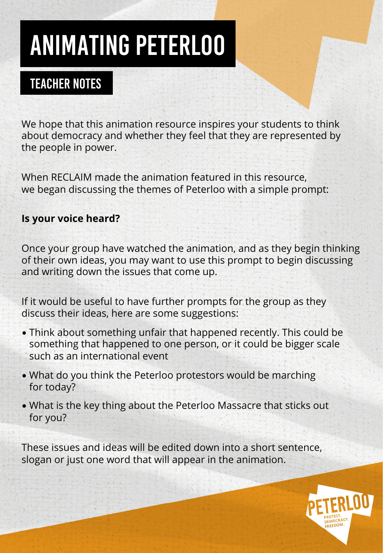## ANIMATING PETERLOO

## TEACHER NOTES

We hope that this animation resource inspires your students to think about democracy and whether they feel that they are represented by the people in power.

When RECLAIM made the animation featured in this resource, we began discussing the themes of Peterloo with a simple prompt:

#### **Is your voice heard?**

Once your group have watched the animation, and as they begin thinking of their own ideas, you may want to use this prompt to begin discussing and writing down the issues that come up.

If it would be useful to have further prompts for the group as they discuss their ideas, here are some suggestions:

- Think about something unfair that happened recently. This could be something that happened to one person, or it could be bigger scale such as an international event
- What do you think the Peterloo protestors would be marching for today?
- What is the key thing about the Peterloo Massacre that sticks out for you?

These issues and ideas will be edited down into a short sentence, slogan or just one word that will appear in the animation.